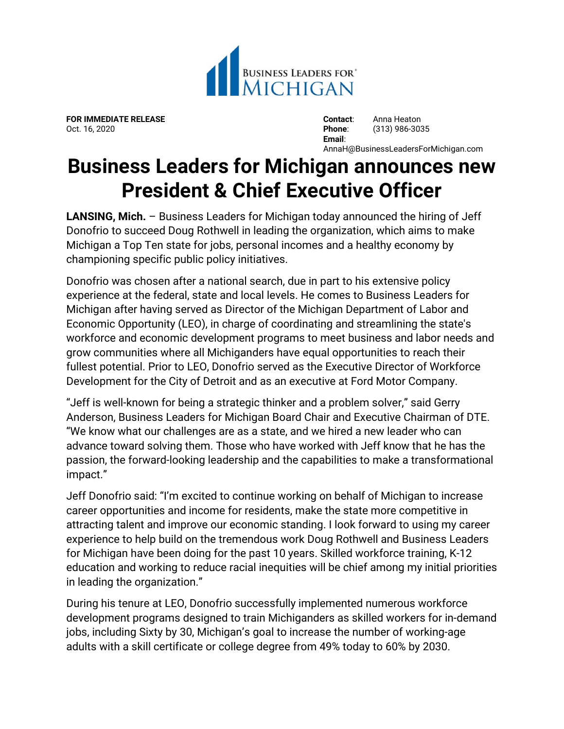

**FOR IMMEDIATE RELEASE Contact**: Anna Heaton

Oct. 16, 2020 **Phone**: (313) 986-3035 **Email**: AnnaH@BusinessLeadersForMichigan.com

## **Business Leaders for Michigan announces new President & Chief Executive Officer**

**LANSING, Mich.** – Business Leaders for Michigan today announced the hiring of Jeff Donofrio to succeed Doug Rothwell in leading the organization, which aims to make Michigan a Top Ten state for jobs, personal incomes and a healthy economy by championing specific public policy initiatives.

Donofrio was chosen after a national search, due in part to his extensive policy experience at the federal, state and local levels. He comes to Business Leaders for Michigan after having served as Director of the Michigan Department of Labor and Economic Opportunity (LEO), in charge of coordinating and streamlining the state's workforce and economic development programs to meet business and labor needs and grow communities where all Michiganders have equal opportunities to reach their fullest potential. Prior to LEO, Donofrio served as the Executive Director of Workforce Development for the City of Detroit and as an executive at Ford Motor Company.

"Jeff is well-known for being a strategic thinker and a problem solver," said Gerry Anderson, Business Leaders for Michigan Board Chair and Executive Chairman of DTE. "We know what our challenges are as a state, and we hired a new leader who can advance toward solving them. Those who have worked with Jeff know that he has the passion, the forward-looking leadership and the capabilities to make a transformational impact."

Jeff Donofrio said: "I'm excited to continue working on behalf of Michigan to increase career opportunities and income for residents, make the state more competitive in attracting talent and improve our economic standing. I look forward to using my career experience to help build on the tremendous work Doug Rothwell and Business Leaders for Michigan have been doing for the past 10 years. Skilled workforce training, K-12 education and working to reduce racial inequities will be chief among my initial priorities in leading the organization."

During his tenure at LEO, Donofrio successfully implemented numerous workforce development programs designed to train Michiganders as skilled workers for in-demand jobs, including Sixty by 30, Michigan's goal to increase the number of working-age adults with a skill certificate or college degree from 49% today to 60% by 2030.